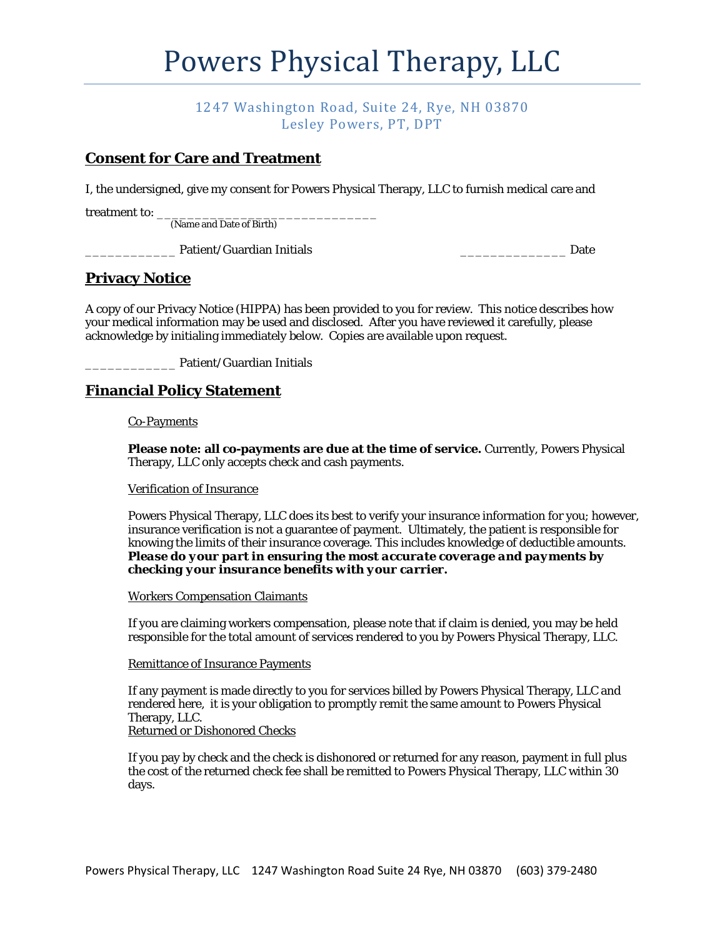# Powers Physical Therapy, LLC

## 1247 Washington Road, Suite 24, Rye, NH 03870 Lesley Powers, PT, DPT

## **Consent for Care and Treatment**

I, the undersigned, give my consent for Powers Physical Therapy, LLC to furnish medical care and

treatment to: \_

(Name and Date of Birth)

\_\_\_\_\_\_\_\_\_\_\_\_ Patient/Guardian Initials \_\_\_\_\_\_\_\_\_\_\_\_\_\_ Date

## **Privacy Notice**

A copy of our Privacy Notice (HIPPA) has been provided to you for review. This notice describes how your medical information may be used and disclosed. After you have reviewed it carefully, please acknowledge by initialing immediately below. Copies are available upon request.

\_\_\_\_\_\_\_\_\_\_\_\_ Patient/Guardian Initials

## **Financial Policy Statement**

### Co-Payments

**Please note: all co-payments are due at the time of service.** Currently, Powers Physical Therapy, LLC only accepts check and cash payments.

#### Verification of Insurance

Powers Physical Therapy, LLC does its best to verify your insurance information for you; however, insurance verification is not a guarantee of payment. Ultimately, the patient is responsible for knowing the limits of their insurance coverage. This includes knowledge of deductible amounts. *Please do your part in ensuring the most accurate coverage and payments by checking your insurance benefits with your carrier.*

Workers Compensation Claimants

If you are claiming workers compensation, please note that if claim is denied, you may be held responsible for the total amount of services rendered to you by Powers Physical Therapy, LLC.

#### Remittance of Insurance Payments

If any payment is made directly to you for services billed by Powers Physical Therapy, LLC and rendered here, it is your obligation to promptly remit the same amount to Powers Physical Therapy, LLC. Returned or Dishonored Checks

If you pay by check and the check is dishonored or returned for any reason, payment in full plus the cost of the returned check fee shall be remitted to Powers Physical Therapy, LLC within 30 days.